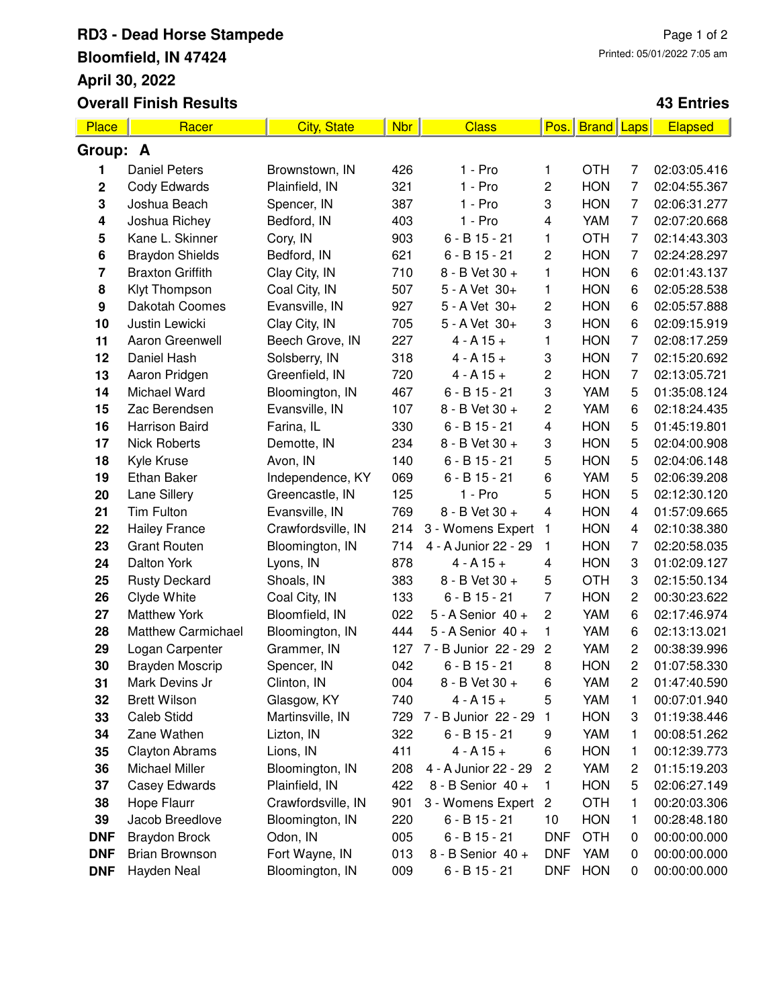## **RD3 - Dead Horse Stampede Bloomfield, IN 47424 April 30, 2022**

**Overall Finish Results**

## **43 Entries**

| Place       | Racer                     | <b>City, State</b> | <b>Nbr</b> | <b>Class</b>         | Pos.                    | <b>Brand</b> Laps |                         | <b>Elapsed</b> |  |  |
|-------------|---------------------------|--------------------|------------|----------------------|-------------------------|-------------------|-------------------------|----------------|--|--|
| Group: A    |                           |                    |            |                      |                         |                   |                         |                |  |  |
| 1           | <b>Daniel Peters</b>      | Brownstown, IN     | 426        | $1 - Pro$            | 1                       | <b>OTH</b>        | 7                       | 02:03:05.416   |  |  |
| $\mathbf 2$ | Cody Edwards              | Plainfield, IN     | 321        | $1 - Pro$            | $\overline{c}$          | <b>HON</b>        | 7                       | 02:04:55.367   |  |  |
| 3           | Joshua Beach              | Spencer, IN        | 387        | $1 - Pro$            | 3                       | <b>HON</b>        | $\overline{7}$          | 02:06:31.277   |  |  |
| 4           | Joshua Richey             | Bedford, IN        | 403        | $1 - Pro$            | $\overline{\mathbf{4}}$ | YAM               | $\overline{7}$          | 02:07:20.668   |  |  |
| 5           | Kane L. Skinner           | Cory, IN           | 903        | $6 - B$ 15 - 21      | 1                       | <b>OTH</b>        | $\overline{7}$          | 02:14:43.303   |  |  |
| 6           | <b>Braydon Shields</b>    | Bedford, IN        | 621        | $6 - B$ 15 - 21      | $\overline{c}$          | <b>HON</b>        | 7                       | 02:24:28.297   |  |  |
| 7           | <b>Braxton Griffith</b>   | Clay City, IN      | 710        | 8 - B Vet 30 +       | 1                       | <b>HON</b>        | 6                       | 02:01:43.137   |  |  |
| 8           | Klyt Thompson             | Coal City, IN      | 507        | 5 - A Vet 30+        | 1                       | <b>HON</b>        | 6                       | 02:05:28.538   |  |  |
| 9           | Dakotah Coomes            | Evansville, IN     | 927        | 5 - A Vet 30+        | 2                       | <b>HON</b>        | 6                       | 02:05:57.888   |  |  |
| 10          | Justin Lewicki            | Clay City, IN      | 705        | 5 - A Vet 30+        | 3                       | <b>HON</b>        | 6                       | 02:09:15.919   |  |  |
| 11          | Aaron Greenwell           | Beech Grove, IN    | 227        | $4 - A 15 +$         | 1                       | <b>HON</b>        | $\overline{7}$          | 02:08:17.259   |  |  |
| 12          | Daniel Hash               | Solsberry, IN      | 318        | $4 - A 15 +$         | 3                       | <b>HON</b>        | $\overline{7}$          | 02:15:20.692   |  |  |
| 13          | Aaron Pridgen             | Greenfield, IN     | 720        | $4 - A 15 +$         | 2                       | <b>HON</b>        | $\overline{7}$          | 02:13:05.721   |  |  |
| 14          | Michael Ward              | Bloomington, IN    | 467        | $6 - B$ 15 - 21      | 3                       | YAM               | 5                       | 01:35:08.124   |  |  |
| 15          | Zac Berendsen             | Evansville, IN     | 107        | 8 - B Vet 30 +       | 2                       | YAM               | 6                       | 02:18:24.435   |  |  |
| 16          | Harrison Baird            | Farina, IL         | 330        | $6 - B$ 15 - 21      | $\overline{\mathbf{4}}$ | <b>HON</b>        | 5                       | 01:45:19.801   |  |  |
| 17          | <b>Nick Roberts</b>       | Demotte, IN        | 234        | 8 - B Vet 30 +       | 3                       | <b>HON</b>        | 5                       | 02:04:00.908   |  |  |
| 18          | Kyle Kruse                | Avon, IN           | 140        | $6 - B$ 15 - 21      | 5                       | <b>HON</b>        | 5                       | 02:04:06.148   |  |  |
| 19          | Ethan Baker               | Independence, KY   | 069        | $6 - B$ 15 - 21      | 6                       | YAM               | 5                       | 02:06:39.208   |  |  |
| 20          | Lane Sillery              | Greencastle, IN    | 125        | $1 - Pro$            | 5                       | <b>HON</b>        | 5                       | 02:12:30.120   |  |  |
| 21          | Tim Fulton                | Evansville, IN     | 769        | 8 - B Vet 30 +       | $\overline{\mathbf{4}}$ | <b>HON</b>        | $\overline{\mathbf{4}}$ | 01:57:09.665   |  |  |
| 22          | <b>Hailey France</b>      | Crawfordsville, IN | 214        | 3 - Womens Expert    | $\overline{1}$          | <b>HON</b>        | 4                       | 02:10:38.380   |  |  |
| 23          | <b>Grant Routen</b>       | Bloomington, IN    | 714        | 4 - A Junior 22 - 29 | $\mathbf{1}$            | <b>HON</b>        | $\overline{7}$          | 02:20:58.035   |  |  |
| 24          | Dalton York               | Lyons, IN          | 878        | $4 - A 15 +$         | 4                       | <b>HON</b>        | 3                       | 01:02:09.127   |  |  |
| 25          | <b>Rusty Deckard</b>      | Shoals, IN         | 383        | 8 - B Vet 30 +       | 5                       | <b>OTH</b>        | 3                       | 02:15:50.134   |  |  |
| 26          | Clyde White               | Coal City, IN      | 133        | $6 - B$ 15 - 21      | $\overline{7}$          | <b>HON</b>        | $\overline{c}$          | 00:30:23.622   |  |  |
| 27          | <b>Matthew York</b>       | Bloomfield, IN     | 022        | 5 - A Senior 40 +    | $\overline{c}$          | YAM               | 6                       | 02:17:46.974   |  |  |
| 28          | <b>Matthew Carmichael</b> | Bloomington, IN    | 444        | 5 - A Senior 40 +    | 1                       | YAM               | 6                       | 02:13:13.021   |  |  |
| 29          | Logan Carpenter           | Grammer, IN        | 127        | 7 - B Junior 22 - 29 | $\overline{c}$          | YAM               | $\overline{c}$          | 00:38:39.996   |  |  |
| 30          | Brayden Moscrip           | Spencer, IN        | 042        | $6 - B$ 15 - 21      | 8                       | <b>HON</b>        | $\overline{c}$          | 01:07:58.330   |  |  |
| 31          | Mark Devins Jr            | Clinton, IN        | 004        | 8 - B Vet 30 +       | 6                       | YAM               | 2                       | 01:47:40.590   |  |  |
| 32          | <b>Brett Wilson</b>       | Glasgow, KY        | 740        | $4 - A 15 +$         | 5                       | YAM               | 1                       | 00:07:01.940   |  |  |
| 33          | <b>Caleb Stidd</b>        | Martinsville, IN   | 729        | 7 - B Junior 22 - 29 | 1                       | <b>HON</b>        | 3                       | 01:19:38.446   |  |  |
| 34          | Zane Wathen               | Lizton, IN         | 322        | $6 - B$ 15 - 21      | 9                       | YAM               | 1                       | 00:08:51.262   |  |  |
| 35          | <b>Clayton Abrams</b>     | Lions, IN          | 411        | $4 - A 15 +$         | 6                       | <b>HON</b>        | 1                       | 00:12:39.773   |  |  |
| 36          | Michael Miller            | Bloomington, IN    | 208        | 4 - A Junior 22 - 29 | $\overline{c}$          | YAM               | $\overline{c}$          | 01:15:19.203   |  |  |
| 37          | Casey Edwards             | Plainfield, IN     | 422        | 8 - B Senior 40 +    | 1                       | <b>HON</b>        | 5                       | 02:06:27.149   |  |  |
| 38          | Hope Flaurr               | Crawfordsville, IN | 901        | 3 - Womens Expert    | $\overline{c}$          | <b>OTH</b>        | 1                       | 00:20:03.306   |  |  |
| 39          | Jacob Breedlove           | Bloomington, IN    | 220        | $6 - B$ 15 - 21      | 10                      | <b>HON</b>        | 1                       | 00:28:48.180   |  |  |
| <b>DNF</b>  | <b>Braydon Brock</b>      | Odon, IN           | 005        | $6 - B$ 15 - 21      | <b>DNF</b>              | <b>OTH</b>        | 0                       | 00:00:00.000   |  |  |
| <b>DNF</b>  | <b>Brian Brownson</b>     | Fort Wayne, IN     | 013        | 8 - B Senior 40 +    | <b>DNF</b>              | YAM               | 0                       | 00:00:00.000   |  |  |
| <b>DNF</b>  | Hayden Neal               | Bloomington, IN    | 009        | 6 - B 15 - 21        | <b>DNF</b>              | <b>HON</b>        | 0                       | 00:00:00.000   |  |  |